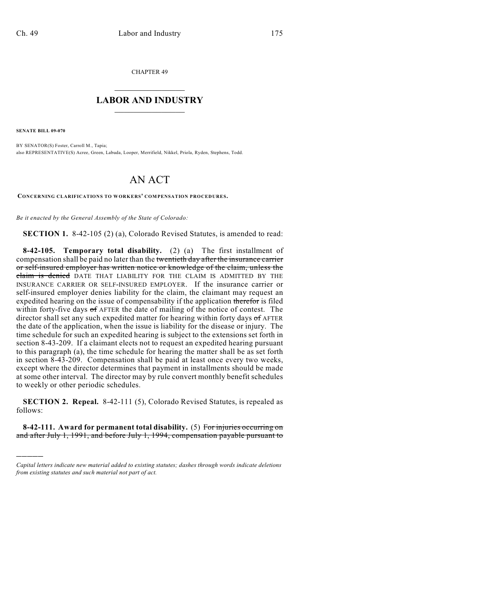CHAPTER 49

## $\mathcal{L}_\text{max}$  . The set of the set of the set of the set of the set of the set of the set of the set of the set of the set of the set of the set of the set of the set of the set of the set of the set of the set of the set **LABOR AND INDUSTRY**  $\frac{1}{\sqrt{2}}$  ,  $\frac{1}{\sqrt{2}}$  ,  $\frac{1}{\sqrt{2}}$  ,  $\frac{1}{\sqrt{2}}$  ,  $\frac{1}{\sqrt{2}}$  ,  $\frac{1}{\sqrt{2}}$

**SENATE BILL 09-070**

)))))

BY SENATOR(S) Foster, Carroll M., Tapia; also REPRESENTATIVE(S) Acree, Green, Labuda, Looper, Merrifield, Nikkel, Priola, Ryden, Stephens, Todd.

## AN ACT

**CONCERNING CLARIFICATIONS TO WORKERS' COMPENSATION PROCEDURES.**

*Be it enacted by the General Assembly of the State of Colorado:*

**SECTION 1.** 8-42-105 (2) (a), Colorado Revised Statutes, is amended to read:

**8-42-105. Temporary total disability.** (2) (a) The first installment of compensation shall be paid no later than the twentieth day after the insurance carrier or self-insured employer has written notice or knowledge of the claim, unless the claim is denied DATE THAT LIABILITY FOR THE CLAIM IS ADMITTED BY THE INSURANCE CARRIER OR SELF-INSURED EMPLOYER. If the insurance carrier or self-insured employer denies liability for the claim, the claimant may request an expedited hearing on the issue of compensability if the application therefor is filed within forty-five days of AFTER the date of mailing of the notice of contest. The director shall set any such expedited matter for hearing within forty days of AFTER the date of the application, when the issue is liability for the disease or injury. The time schedule for such an expedited hearing is subject to the extensions set forth in section 8-43-209. If a claimant elects not to request an expedited hearing pursuant to this paragraph (a), the time schedule for hearing the matter shall be as set forth in section 8-43-209. Compensation shall be paid at least once every two weeks, except where the director determines that payment in installments should be made at some other interval. The director may by rule convert monthly benefit schedules to weekly or other periodic schedules.

**SECTION 2. Repeal.** 8-42-111 (5), Colorado Revised Statutes, is repealed as follows:

**8-42-111. Award for permanent total disability.** (5) For injuries occurring on and after July 1, 1991, and before July 1, 1994, compensation payable pursuant to

*Capital letters indicate new material added to existing statutes; dashes through words indicate deletions from existing statutes and such material not part of act.*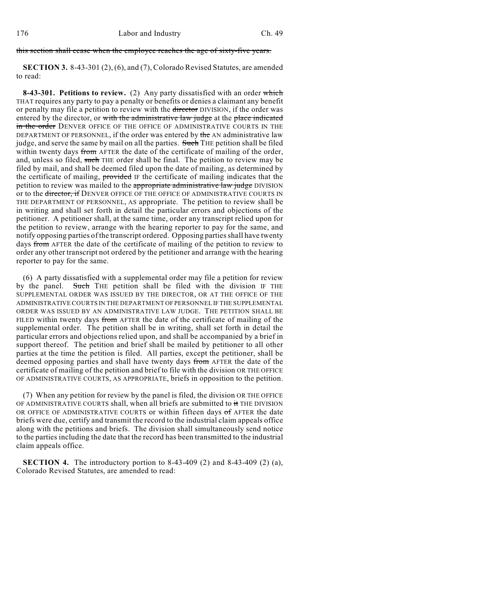## this section shall cease when the employee reaches the age of sixty-five years.

**SECTION 3.** 8-43-301 (2), (6), and (7), Colorado Revised Statutes, are amended to read:

**8-43-301. Petitions to review.** (2) Any party dissatisfied with an order which THAT requires any party to pay a penalty or benefits or denies a claimant any benefit or penalty may file a petition to review with the director DIVISION, if the order was entered by the director, or with the administrative law judge at the place indicated in the order DENVER OFFICE OF THE OFFICE OF ADMINISTRATIVE COURTS IN THE DEPARTMENT OF PERSONNEL, if the order was entered by the AN administrative law judge, and serve the same by mail on all the parties. Such THE petition shall be filed within twenty days from AFTER the date of the certificate of mailing of the order, and, unless so filed, such THE order shall be final. The petition to review may be filed by mail, and shall be deemed filed upon the date of mailing, as determined by the certificate of mailing, provided IF the certificate of mailing indicates that the petition to review was mailed to the appropriate administrative law judge DIVISION or to the <del>director, if</del> DENVER OFFICE OF THE OFFICE OF ADMINISTRATIVE COURTS IN THE DEPARTMENT OF PERSONNEL, AS appropriate. The petition to review shall be in writing and shall set forth in detail the particular errors and objections of the petitioner. A petitioner shall, at the same time, order any transcript relied upon for the petition to review, arrange with the hearing reporter to pay for the same, and notify opposing parties of the transcript ordered. Opposing parties shall have twenty days from AFTER the date of the certificate of mailing of the petition to review to order any other transcript not ordered by the petitioner and arrange with the hearing reporter to pay for the same.

(6) A party dissatisfied with a supplemental order may file a petition for review by the panel. Such THE petition shall be filed with the division IF THE SUPPLEMENTAL ORDER WAS ISSUED BY THE DIRECTOR, OR AT THE OFFICE OF THE ADMINISTRATIVE COURTS IN THE DEPARTMENT OF PERSONNEL IF THE SUPPLEMENTAL ORDER WAS ISSUED BY AN ADMINISTRATIVE LAW JUDGE. THE PETITION SHALL BE FILED within twenty days from AFTER the date of the certificate of mailing of the supplemental order. The petition shall be in writing, shall set forth in detail the particular errors and objections relied upon, and shall be accompanied by a brief in support thereof. The petition and brief shall be mailed by petitioner to all other parties at the time the petition is filed. All parties, except the petitioner, shall be deemed opposing parties and shall have twenty days from AFTER the date of the certificate of mailing of the petition and brief to file with the division OR THE OFFICE OF ADMINISTRATIVE COURTS, AS APPROPRIATE, briefs in opposition to the petition.

(7) When any petition for review by the panel is filed, the division OR THE OFFICE OF ADMINISTRATIVE COURTS shall, when all briefs are submitted to it THE DIVISION OR OFFICE OF ADMINISTRATIVE COURTS or within fifteen days of AFTER the date briefs were due, certify and transmit the record to the industrial claim appeals office along with the petitions and briefs. The division shall simultaneously send notice to the parties including the date that the record has been transmitted to the industrial claim appeals office.

**SECTION 4.** The introductory portion to 8-43-409 (2) and 8-43-409 (2) (a), Colorado Revised Statutes, are amended to read: